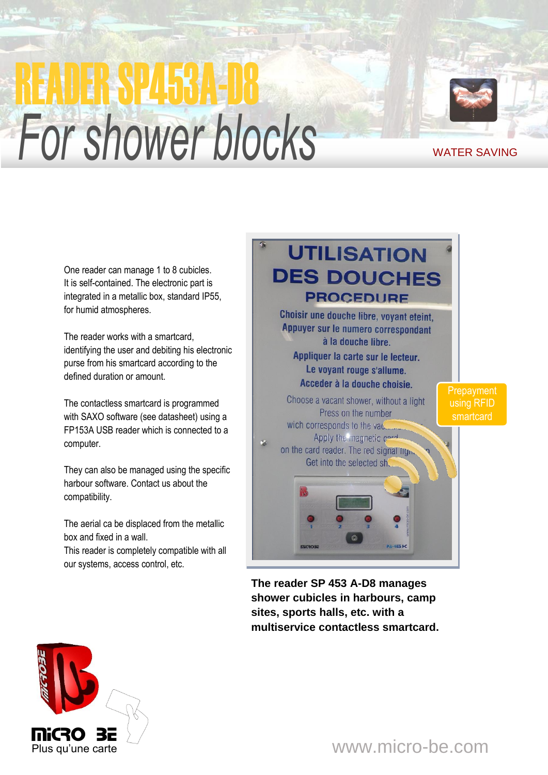# *For shower blocks* READER SPAFS

WATER SAVING

One reader can manage 1 to 8 cubicles. It is self-contained. The electronic part is integrated in a metallic box, standard IP55, for humid atmospheres.

The reader works with a smartcard, identifying the user and debiting his electronic purse from his smartcard according to the defined duration or amount.

The contactless smartcard is programmed with SAXO software (see datasheet) using a FP153A USB reader which is connected to a computer.

They can also be managed using the specific harbour software. Contact us about the compatibility.

The aerial ca be displaced from the metallic box and fixed in a wall.

This reader is completely compatible with all our systems, access control, etc.

### **UTILISATION DES DOUCHES PROCEDURE**

Choisir une douche libre, voyant eteint, Appuyer sur le numero correspondant à la douche libre. Appliquer la carte sur le lecteur. Le voyant rouge s'allume. Acceder à la douche choisie.

Choose a vacant shower, without a light Press on the number wich corresponds to the vad. Apply the magnetic c on the card reader. The red signal liqn Get into the selected sh.

**Prepayment** using RFID smartcard

**The reader SP 453 A-D8 manages shower cubicles in harbours, camp sites, sports halls, etc. with a multiservice contactless smartcard.**



www.micro-be.com